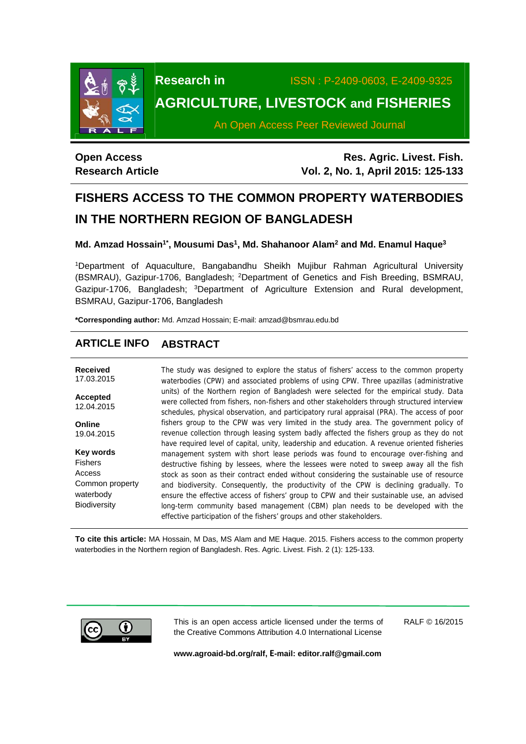

**Research in** ISSN : P-2409-0603, E-2409-9325

# **AGRICULTURE, LIVESTOCK and FISHERIES**

An Open Access Peer Reviewed Journal

## **Open Access Research Article**

**Res. Agric. Livest. Fish. Vol. 2, No. 1, April 2015: 125-133**

# **FISHERS ACCESS TO THE COMMON PROPERTY WATERBODIES IN THE NORTHERN REGION OF BANGLADESH**

## Md. Amzad Hossain<sup>1\*</sup>, Mousumi Das<sup>1</sup>, Md. Shahanoor Alam<sup>2</sup> and Md. Enamul Haque<sup>3</sup>

1Department of Aquaculture, Bangabandhu Sheikh Mujibur Rahman Agricultural University (BSMRAU), Gazipur-1706, Bangladesh; 2Department of Genetics and Fish Breeding, BSMRAU, Gazipur-1706, Bangladesh; <sup>3</sup>Department of Agriculture Extension and Rural development, BSMRAU, Gazipur-1706, Bangladesh

**\*Corresponding author:** Md. Amzad Hossain; E-mail: amzad@bsmrau.edu.bd

## **ARTICLE INFO ABSTRACT**

| <b>Received</b><br>17.03.2015                | The study was designed to explore the status of fishers' access to the common property<br>waterbodies (CPW) and associated problems of using CPW. Three upazillas (administrative                                                                                                                                                                |
|----------------------------------------------|--------------------------------------------------------------------------------------------------------------------------------------------------------------------------------------------------------------------------------------------------------------------------------------------------------------------------------------------------|
| <b>Accepted</b><br>12.04.2015                | units) of the Northern region of Bangladesh were selected for the empirical study. Data<br>were collected from fishers, non-fishers and other stakeholders through structured interview<br>schedules, physical observation, and participatory rural appraisal (PRA). The access of poor                                                          |
| Online<br>19.04.2015                         | fishers group to the CPW was very limited in the study area. The government policy of<br>revenue collection through leasing system badly affected the fishers group as they do not<br>have required level of capital, unity, leadership and education. A revenue oriented fisheries                                                              |
| Key words<br><b>Fishers</b><br>Access        | management system with short lease periods was found to encourage over-fishing and<br>destructive fishing by lessees, where the lessees were noted to sweep away all the fish<br>stock as soon as their contract ended without considering the sustainable use of resource                                                                       |
| Common property<br>waterbody<br>Biodiversity | and biodiversity. Consequently, the productivity of the CPW is declining gradually. To<br>ensure the effective access of fishers' group to CPW and their sustainable use, an advised<br>long-term community based management (CBM) plan needs to be developed with the<br>effective participation of the fishers' groups and other stakeholders. |

**To cite this article:** MA Hossain, M Das, MS Alam and ME Haque. 2015. Fishers access to the common property waterbodies in the Northern region of Bangladesh. Res. Agric. Livest. Fish. 2 (1): 125-133.



This is an open access article licensed under the terms of the Creative Commons Attribution 4.0 International License

RALF © 16/2015

**www.agroaid-bd.org/ralf, E-mail: editor.ralf@gmail.com**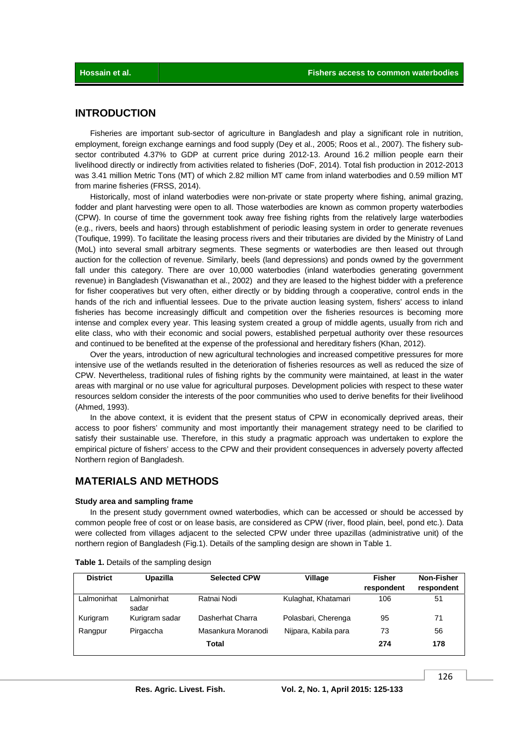## **INTRODUCTION**

 Fisheries are important sub-sector of agriculture in Bangladesh and play a significant role in nutrition, employment, foreign exchange earnings and food supply (Dey et al., 2005; Roos et al., 2007). The fishery subsector contributed 4.37% to GDP at current price during 2012-13. Around 16.2 million people earn their livelihood directly or indirectly from activities related to fisheries (DoF, 2014). Total fish production in 2012-2013 was 3.41 million Metric Tons (MT) of which 2.82 million MT came from inland waterbodies and 0.59 million MT from marine fisheries (FRSS, 2014).

 Historically, most of inland waterbodies were non-private or state property where fishing, animal grazing, fodder and plant harvesting were open to all. Those waterbodies are known as common property waterbodies (CPW). In course of time the government took away free fishing rights from the relatively large waterbodies (e.g., rivers, beels and haors) through establishment of periodic leasing system in order to generate revenues (Toufique, 1999). To facilitate the leasing process rivers and their tributaries are divided by the Ministry of Land (MoL) into several small arbitrary segments. These segments or waterbodies are then leased out through auction for the collection of revenue. Similarly, beels (land depressions) and ponds owned by the government fall under this category. There are over 10,000 waterbodies (inland waterbodies generating government revenue) in Bangladesh (Viswanathan et al., 2002) and they are leased to the highest bidder with a preference for fisher cooperatives but very often, either directly or by bidding through a cooperative, control ends in the hands of the rich and influential lessees. Due to the private auction leasing system, fishers' access to inland fisheries has become increasingly difficult and competition over the fisheries resources is becoming more intense and complex every year. This leasing system created a group of middle agents, usually from rich and elite class, who with their economic and social powers, established perpetual authority over these resources and continued to be benefited at the expense of the professional and hereditary fishers (Khan, 2012).

 Over the years, introduction of new agricultural technologies and increased competitive pressures for more intensive use of the wetlands resulted in the deterioration of fisheries resources as well as reduced the size of CPW. Nevertheless, traditional rules of fishing rights by the community were maintained, at least in the water areas with marginal or no use value for agricultural purposes. Development policies with respect to these water resources seldom consider the interests of the poor communities who used to derive benefits for their livelihood (Ahmed, 1993).

In the above context, it is evident that the present status of CPW in economically deprived areas, their access to poor fishers' community and most importantly their management strategy need to be clarified to satisfy their sustainable use. Therefore, in this study a pragmatic approach was undertaken to explore the empirical picture of fishers' access to the CPW and their provident consequences in adversely poverty affected Northern region of Bangladesh.

## **MATERIALS AND METHODS**

#### **Study area and sampling frame**

 In the present study government owned waterbodies, which can be accessed or should be accessed by common people free of cost or on lease basis, are considered as CPW (river, flood plain, beel, pond etc.). Data were collected from villages adjacent to the selected CPW under three upazillas (administrative unit) of the northern region of Bangladesh (Fig.1). Details of the sampling design are shown in Table 1.

| <b>District</b> | Upazilla             | <b>Selected CPW</b> | Village              | <b>Fisher</b><br>respondent | Non-Fisher<br>respondent |
|-----------------|----------------------|---------------------|----------------------|-----------------------------|--------------------------|
| Lalmonirhat     | Lalmonirhat<br>sadar | Ratnai Nodi         | Kulaghat, Khatamari  | 106                         | 51                       |
| Kurigram        | Kurigram sadar       | Dasherhat Charra    | Polasbari, Cherenga  | 95                          | 71                       |
| Rangpur         | Pirgaccha            | Masankura Moranodi  | Nijpara, Kabila para | 73                          | 56                       |
|                 |                      | Total               |                      | 274                         | 178                      |

| Table 1. Details of the sampling design |  |  |  |  |  |
|-----------------------------------------|--|--|--|--|--|
|-----------------------------------------|--|--|--|--|--|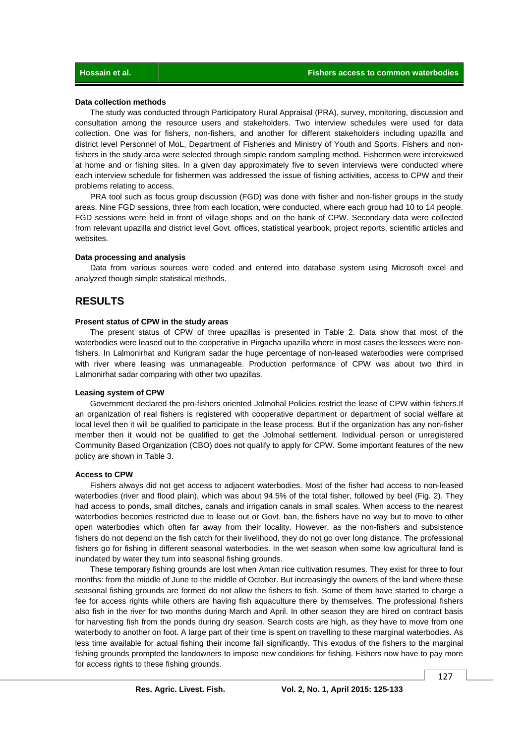#### **Data collection methods**

 The study was conducted through Participatory Rural Appraisal (PRA), survey, monitoring, discussion and consultation among the resource users and stakeholders. Two interview schedules were used for data collection. One was for fishers, non-fishers, and another for different stakeholders including upazilla and district level Personnel of MoL, Department of Fisheries and Ministry of Youth and Sports. Fishers and nonfishers in the study area were selected through simple random sampling method. Fishermen were interviewed at home and or fishing sites. In a given day approximately five to seven interviews were conducted where each interview schedule for fishermen was addressed the issue of fishing activities, access to CPW and their problems relating to access.

 PRA tool such as focus group discussion (FGD) was done with fisher and non-fisher groups in the study areas. Nine FGD sessions, three from each location, were conducted, where each group had 10 to 14 people. FGD sessions were held in front of village shops and on the bank of CPW. Secondary data were collected from relevant upazilla and district level Govt. offices, statistical yearbook, project reports, scientific articles and websites.

#### **Data processing and analysis**

 Data from various sources were coded and entered into database system using Microsoft excel and analyzed though simple statistical methods.

## **RESULTS**

#### **Present status of CPW in the study areas**

 The present status of CPW of three upazillas is presented in Table 2. Data show that most of the waterbodies were leased out to the cooperative in Pirgacha upazilla where in most cases the lessees were nonfishers. In Lalmonirhat and Kurigram sadar the huge percentage of non-leased waterbodies were comprised with river where leasing was unmanageable. Production performance of CPW was about two third in Lalmonirhat sadar comparing with other two upazillas.

#### **Leasing system of CPW**

 Government declared the pro-fishers oriented Jolmohal Policies restrict the lease of CPW within fishers.If an organization of real fishers is registered with cooperative department or department of social welfare at local level then it will be qualified to participate in the lease process. But if the organization has any non-fisher member then it would not be qualified to get the Jolmohal settlement. Individual person or unregistered Community Based Organization (CBO) does not qualify to apply for CPW. Some important features of the new policy are shown in Table 3.

#### **Access to CPW**

 Fishers always did not get access to adjacent waterbodies. Most of the fisher had access to non-leased waterbodies (river and flood plain), which was about 94.5% of the total fisher, followed by beel (Fig. 2). They had access to ponds, small ditches, canals and irrigation canals in small scales. When access to the nearest waterbodies becomes restricted due to lease out or Govt. ban, the fishers have no way but to move to other open waterbodies which often far away from their locality. However, as the non-fishers and subsistence fishers do not depend on the fish catch for their livelihood, they do not go over long distance. The professional fishers go for fishing in different seasonal waterbodies. In the wet season when some low agricultural land is inundated by water they turn into seasonal fishing grounds.

 These temporary fishing grounds are lost when Aman rice cultivation resumes. They exist for three to four months: from the middle of June to the middle of October. But increasingly the owners of the land where these seasonal fishing grounds are formed do not allow the fishers to fish. Some of them have started to charge a fee for access rights while others are having fish aquaculture there by themselves. The professional fishers also fish in the river for two months during March and April. In other season they are hired on contract basis for harvesting fish from the ponds during dry season. Search costs are high, as they have to move from one waterbody to another on foot. A large part of their time is spent on travelling to these marginal waterbodies. As less time available for actual fishing their income fall significantly. This exodus of the fishers to the marginal fishing grounds prompted the landowners to impose new conditions for fishing. Fishers now have to pay more for access rights to these fishing grounds.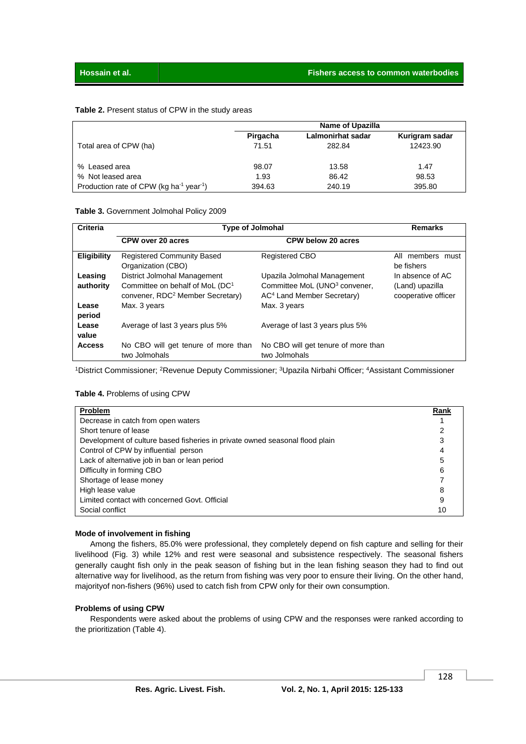#### **Table 2.** Present status of CPW in the study areas

|                                                                  |          | <b>Name of Upazilla</b> |                |
|------------------------------------------------------------------|----------|-------------------------|----------------|
|                                                                  | Pirgacha | Lalmonirhat sadar       | Kurigram sadar |
| Total area of CPW (ha)                                           | 71.51    | 282.84                  | 12423.90       |
| % Leased area                                                    | 98.07    | 13.58                   | 1.47           |
| % Not leased area                                                | 1.93     | 86.42                   | 98.53          |
| Production rate of CPW (kg ha <sup>-1</sup> year <sup>-1</sup> ) | 394.63   | 240.19                  | 395.80         |

**Table 3.** Government Jolmohal Policy 2009

| <b>Criteria</b>      | <b>Type of Jolmohal</b>                                                                                                     | Remarks                                                                                                            |                                                            |
|----------------------|-----------------------------------------------------------------------------------------------------------------------------|--------------------------------------------------------------------------------------------------------------------|------------------------------------------------------------|
|                      | CPW over 20 acres                                                                                                           | <b>CPW below 20 acres</b>                                                                                          |                                                            |
| <b>Eligibility</b>   | <b>Registered Community Based</b><br>Organization (CBO)                                                                     | <b>Registered CBO</b>                                                                                              | All members must<br>be fishers                             |
| Leasing<br>authority | District Jolmohal Management<br>Committee on behalf of MoL (DC <sup>1</sup><br>convener, RDC <sup>2</sup> Member Secretary) | Upazila Jolmohal Management<br>Committee MoL (UNO <sup>3</sup> convener,<br>AC <sup>4</sup> Land Member Secretary) | In absence of AC<br>(Land) upazilla<br>cooperative officer |
| Lease<br>period      | Max. 3 years                                                                                                                | Max. 3 years                                                                                                       |                                                            |
| Lease<br>value       | Average of last 3 years plus 5%                                                                                             | Average of last 3 years plus 5%                                                                                    |                                                            |
| <b>Access</b>        | No CBO will get tenure of more than<br>two Jolmohals                                                                        | No CBO will get tenure of more than<br>two Jolmohals                                                               |                                                            |

<sup>1</sup>District Commissioner; <sup>2</sup>Revenue Deputy Commissioner; <sup>3</sup>Upazila Nirbahi Officer; <sup>4</sup>Assistant Commissioner

#### **Table 4.** Problems of using CPW

| <b>Problem</b>                                                               | Rank |
|------------------------------------------------------------------------------|------|
| Decrease in catch from open waters                                           |      |
| Short tenure of lease                                                        |      |
| Development of culture based fisheries in private owned seasonal flood plain |      |
| Control of CPW by influential person                                         |      |
| Lack of alternative job in ban or lean period                                | 5    |
| Difficulty in forming CBO                                                    | 6    |
| Shortage of lease money                                                      |      |
| High lease value                                                             | 8    |
| Limited contact with concerned Govt. Official                                | 9    |
| Social conflict                                                              | 10   |

#### **Mode of involvement in fishing**

 Among the fishers, 85.0% were professional, they completely depend on fish capture and selling for their livelihood (Fig. 3) while 12% and rest were seasonal and subsistence respectively. The seasonal fishers generally caught fish only in the peak season of fishing but in the lean fishing season they had to find out alternative way for livelihood, as the return from fishing was very poor to ensure their living. On the other hand, majorityof non-fishers (96%) used to catch fish from CPW only for their own consumption.

#### **Problems of using CPW**

 Respondents were asked about the problems of using CPW and the responses were ranked according to the prioritization (Table 4).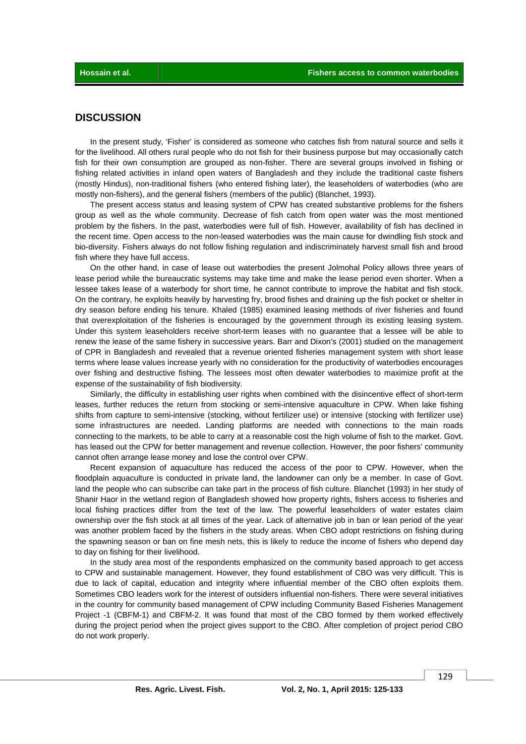## **DISCUSSION**

 In the present study, 'Fisher' is considered as someone who catches fish from natural source and sells it for the livelihood. All others rural people who do not fish for their business purpose but may occasionally catch fish for their own consumption are grouped as non-fisher. There are several groups involved in fishing or fishing related activities in inland open waters of Bangladesh and they include the traditional caste fishers (mostly Hindus), non-traditional fishers (who entered fishing later), the leaseholders of waterbodies (who are mostly non-fishers), and the general fishers (members of the public) (Blanchet, 1993).

 The present access status and leasing system of CPW has created substantive problems for the fishers group as well as the whole community. Decrease of fish catch from open water was the most mentioned problem by the fishers. In the past, waterbodies were full of fish. However, availability of fish has declined in the recent time. Open access to the non-leased waterbodies was the main cause for dwindling fish stock and bio-diversity. Fishers always do not follow fishing regulation and indiscriminately harvest small fish and brood fish where they have full access.

 On the other hand, in case of lease out waterbodies the present Jolmohal Policy allows three years of lease period while the bureaucratic systems may take time and make the lease period even shorter. When a lessee takes lease of a waterbody for short time, he cannot contribute to improve the habitat and fish stock. On the contrary, he exploits heavily by harvesting fry, brood fishes and draining up the fish pocket or shelter in dry season before ending his tenure. Khaled (1985) examined leasing methods of river fisheries and found that overexploitation of the fisheries is encouraged by the government through its existing leasing system. Under this system leaseholders receive short-term leases with no guarantee that a lessee will be able to renew the lease of the same fishery in successive years. Barr and Dixon's (2001) studied on the management of CPR in Bangladesh and revealed that a revenue oriented fisheries management system with short lease terms where lease values increase yearly with no consideration for the productivity of waterbodies encourages over fishing and destructive fishing. The lessees most often dewater waterbodies to maximize profit at the expense of the sustainability of fish biodiversity.

 Similarly, the difficulty in establishing user rights when combined with the disincentive effect of short-term leases, further reduces the return from stocking or semi-intensive aquaculture in CPW. When lake fishing shifts from capture to semi-intensive (stocking, without fertilizer use) or intensive (stocking with fertilizer use) some infrastructures are needed. Landing platforms are needed with connections to the main roads connecting to the markets, to be able to carry at a reasonable cost the high volume of fish to the market. Govt. has leased out the CPW for better management and revenue collection. However, the poor fishers' community cannot often arrange lease money and lose the control over CPW.

 Recent expansion of aquaculture has reduced the access of the poor to CPW. However, when the floodplain aquaculture is conducted in private land, the landowner can only be a member. In case of Govt. land the people who can subscribe can take part in the process of fish culture. Blanchet (1993) in her study of Shanir Haor in the wetland region of Bangladesh showed how property rights, fishers access to fisheries and local fishing practices differ from the text of the law. The powerful leaseholders of water estates claim ownership over the fish stock at all times of the year. Lack of alternative job in ban or lean period of the year was another problem faced by the fishers in the study areas. When CBO adopt restrictions on fishing during the spawning season or ban on fine mesh nets, this is likely to reduce the income of fishers who depend day to day on fishing for their livelihood.

 In the study area most of the respondents emphasized on the community based approach to get access to CPW and sustainable management. However, they found establishment of CBO was very difficult. This is due to lack of capital, education and integrity where influential member of the CBO often exploits them. Sometimes CBO leaders work for the interest of outsiders influential non-fishers. There were several initiatives in the country for community based management of CPW including Community Based Fisheries Management Project -1 (CBFM-1) and CBFM-2. It was found that most of the CBO formed by them worked effectively during the project period when the project gives support to the CBO. After completion of project period CBO do not work properly.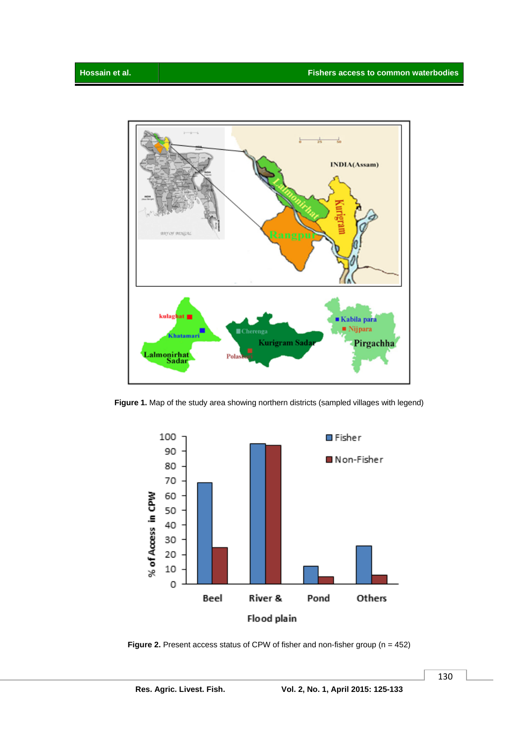

**Figure 1.** Map of the study area showing northern districts (sampled villages with legend)



**Figure 2.** Present access status of CPW of fisher and non-fisher group (n = 452)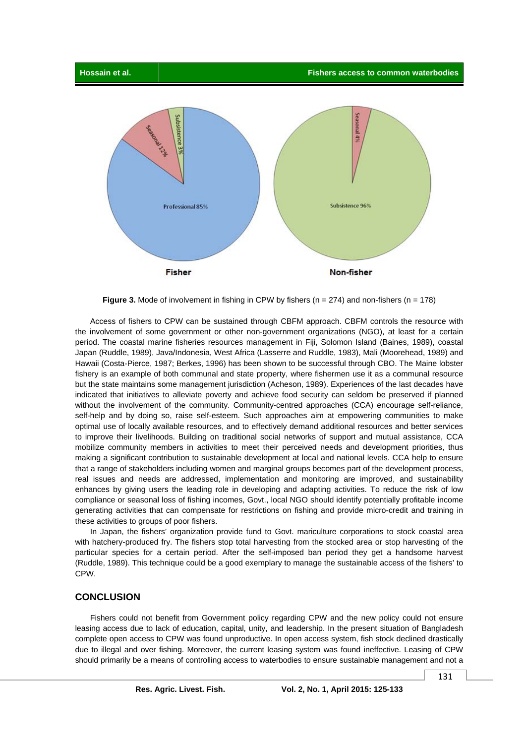

**Figure 3.** Mode of involvement in fishing in CPW by fishers (n = 274) and non-fishers (n = 178)

 Access of fishers to CPW can be sustained through CBFM approach. CBFM controls the resource with the involvement of some government or other non-government organizations (NGO), at least for a certain period. The coastal marine fisheries resources management in Fiji, Solomon Island (Baines, 1989), coastal Japan (Ruddle, 1989), Java/Indonesia, West Africa (Lasserre and Ruddle, 1983), Mali (Moorehead, 1989) and Hawaii (Costa-Pierce, 1987; Berkes, 1996) has been shown to be successful through CBO. The Maine lobster fishery is an example of both communal and state property, where fishermen use it as a communal resource but the state maintains some management jurisdiction (Acheson, 1989). Experiences of the last decades have indicated that initiatives to alleviate poverty and achieve food security can seldom be preserved if planned without the involvement of the community. Community-centred approaches (CCA) encourage self-reliance, self-help and by doing so, raise self-esteem. Such approaches aim at empowering communities to make optimal use of locally available resources, and to effectively demand additional resources and better services to improve their livelihoods. Building on traditional social networks of support and mutual assistance, CCA mobilize community members in activities to meet their perceived needs and development priorities, thus making a significant contribution to sustainable development at local and national levels. CCA help to ensure that a range of stakeholders including women and marginal groups becomes part of the development process, real issues and needs are addressed, implementation and monitoring are improved, and sustainability enhances by giving users the leading role in developing and adapting activities. To reduce the risk of low compliance or seasonal loss of fishing incomes, Govt., local NGO should identify potentially profitable income generating activities that can compensate for restrictions on fishing and provide micro-credit and training in these activities to groups of poor fishers.

 In Japan, the fishers' organization provide fund to Govt. mariculture corporations to stock coastal area with hatchery-produced fry. The fishers stop total harvesting from the stocked area or stop harvesting of the particular species for a certain period. After the self-imposed ban period they get a handsome harvest (Ruddle, 1989). This technique could be a good exemplary to manage the sustainable access of the fishers' to CPW.

## **CONCLUSION**

 Fishers could not benefit from Government policy regarding CPW and the new policy could not ensure leasing access due to lack of education, capital, unity, and leadership. In the present situation of Bangladesh complete open access to CPW was found unproductive. In open access system, fish stock declined drastically due to illegal and over fishing. Moreover, the current leasing system was found ineffective. Leasing of CPW should primarily be a means of controlling access to waterbodies to ensure sustainable management and not a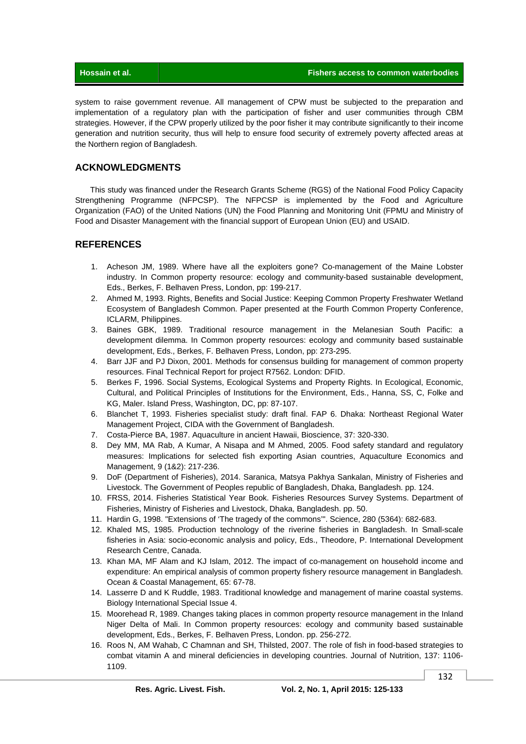| Hossain et al. | <b>Fishers access to common waterbodies</b> |
|----------------|---------------------------------------------|
|                |                                             |

system to raise government revenue. All management of CPW must be subjected to the preparation and implementation of a regulatory plan with the participation of fisher and user communities through CBM strategies. However, if the CPW properly utilized by the poor fisher it may contribute significantly to their income generation and nutrition security, thus will help to ensure food security of extremely poverty affected areas at the Northern region of Bangladesh.

## **ACKNOWLEDGMENTS**

 This study was financed under the Research Grants Scheme (RGS) of the National Food Policy Capacity Strengthening Programme (NFPCSP). The NFPCSP is implemented by the Food and Agriculture Organization (FAO) of the United Nations (UN) the Food Planning and Monitoring Unit (FPMU and Ministry of Food and Disaster Management with the financial support of European Union (EU) and USAID.

## **REFERENCES**

- 1. Acheson JM, 1989. Where have all the exploiters gone? Co-management of the Maine Lobster industry. In Common property resource: ecology and community-based sustainable development, Eds., Berkes, F. Belhaven Press, London, pp: 199-217.
- 2. Ahmed M, 1993. Rights, Benefits and Social Justice: Keeping Common Property Freshwater Wetland Ecosystem of Bangladesh Common. Paper presented at the Fourth Common Property Conference, ICLARM, Philippines.
- 3. Baines GBK, 1989. Traditional resource management in the Melanesian South Pacific: a development dilemma. In Common property resources: ecology and community based sustainable development, Eds., Berkes, F. Belhaven Press, London, pp: 273-295.
- 4. Barr JJF and PJ Dixon, 2001. Methods for consensus building for management of common property resources. Final Technical Report for project R7562. London: DFID.
- 5. Berkes F, 1996. Social Systems, Ecological Systems and Property Rights. In Ecological, Economic, Cultural, and Political Principles of Institutions for the Environment, Eds., Hanna, SS, C, Folke and KG, Maler. Island Press, Washington, DC, pp: 87-107.
- 6. Blanchet T, 1993. Fisheries specialist study: draft final. FAP 6. Dhaka: Northeast Regional Water Management Project, CIDA with the Government of Bangladesh.
- 7. Costa-Pierce BA, 1987. Aquaculture in ancient Hawaii, Bioscience, 37: 320-330.
- 8. Dey MM, MA Rab, A Kumar, A Nisapa and M Ahmed, 2005. Food safety standard and regulatory measures: Implications for selected fish exporting Asian countries, Aquaculture Economics and Management, 9 (1&2): 217-236.
- 9. DoF (Department of Fisheries), 2014. Saranica, Matsya Pakhya Sankalan, Ministry of Fisheries and Livestock. The Government of Peoples republic of Bangladesh, Dhaka, Bangladesh. pp. 124.
- 10. FRSS, 2014. Fisheries Statistical Year Book. Fisheries Resources Survey Systems. Department of Fisheries, Ministry of Fisheries and Livestock, Dhaka, Bangladesh. pp. 50.
- 11. Hardin G, 1998. "Extensions of 'The tragedy of the commons'". Science, 280 (5364): 682-683.
- 12. Khaled MS, 1985. Production technology of the riverine fisheries in Bangladesh. In Small-scale fisheries in Asia: socio-economic analysis and policy, Eds., Theodore, P. International Development Research Centre, Canada.
- 13. Khan MA, MF Alam and KJ Islam, 2012. The impact of co-management on household income and expenditure: An empirical analysis of common property fishery resource management in Bangladesh. Ocean & Coastal Management, 65: 67-78.
- 14. Lasserre D and K Ruddle, 1983. Traditional knowledge and management of marine coastal systems. Biology International Special Issue 4.
- 15. Moorehead R, 1989. Changes taking places in common property resource management in the Inland Niger Delta of Mali. In Common property resources: ecology and community based sustainable development, Eds., Berkes, F. Belhaven Press, London. pp. 256-272.
- 16. Roos N, AM Wahab, C Chamnan and SH, Thilsted, 2007. The role of fish in food-based strategies to combat vitamin A and mineral deficiencies in developing countries. Journal of Nutrition, 137: 1106- 1109.